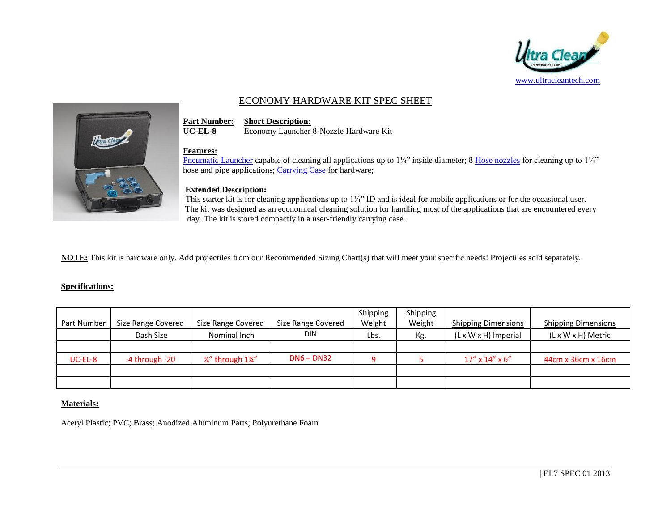

# ECONOMY HARDWARE KIT SPEC SHEET



**Part Number: Short Description:**<br>**UC-EL-8 Economy Launcher** Economy Launcher 8-Nozzle Hardware Kit

#### **Features:**

[Pneumatic Launcher](http://www.ultracleantech.com/clean-easy/pneumatic-projectile-launchers/ultra-clean-economy-launcher-1-25.html) capable of cleaning all applications up to  $1\frac{1}{4}$ " inside diameter; 8 [Hose nozzles](http://www.ultracleantech.com/clean-easy/nozzles-and-adapter-rings/hose-nozzles-1.html) for cleaning up to  $1\frac{1}{4}$ " hose and pipe applications; [Carrying Case](http://www.ultracleantech.com/clean-easy/accessories/uc-cc.html) for hardware;

## **Extended Description:**

This starter kit is for cleaning applications up to  $1/4$ " ID and is ideal for mobile applications or for the occasional user. The kit was designed as an economical cleaning solution for handling most of the applications that are encountered every day. The kit is stored compactly in a user-friendly carrying case.

**NOTE:** This kit is hardware only. Add projectiles from our Recommended Sizing Chart(s) that will meet your specific needs! Projectiles sold separately.

## **Specifications:**

|             |                    |                    |                    | Shipping | Shipping |                                  |                            |
|-------------|--------------------|--------------------|--------------------|----------|----------|----------------------------------|----------------------------|
| Part Number | Size Range Covered | Size Range Covered | Size Range Covered | Weight   | Weight   | <b>Shipping Dimensions</b>       | <b>Shipping Dimensions</b> |
|             | Dash Size          | Nominal Inch       | <b>DIN</b>         | Lbs.     | Kg.      | $(L \times W \times H)$ Imperial | (L x W x H) Metric         |
|             |                    |                    |                    |          |          |                                  |                            |
| $UC-EL-8$   | -4 through -20     | 1/4" through 11/4" | $DN6 - DN32$       |          |          | $17''$ x $14''$ x $6''$          | 44cm x 36cm x 16cm         |
|             |                    |                    |                    |          |          |                                  |                            |
|             |                    |                    |                    |          |          |                                  |                            |

## **Materials:**

Acetyl Plastic; PVC; Brass; Anodized Aluminum Parts; Polyurethane Foam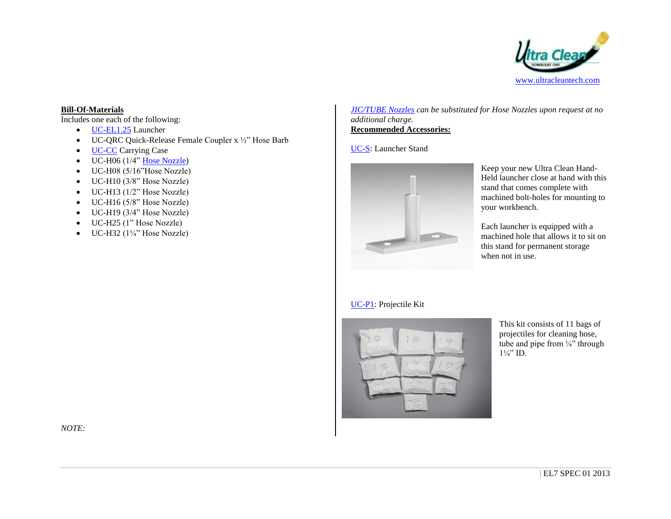

#### **Bill-Of-Materials**

Includes one each of the following:

- [UC-EL1.25](http://www.ultracleantech.com/clean-easy/pneumatic-projectile-launchers/ultra-clean-economy-launcher-1-25.html) Launcher
- UC-QRC Quick-Release Female Coupler x ½" Hose Barb
- [UC-CC](http://www.ultracleantech.com/clean-easy/accessories/uc-cc.html) Carrying Case
- $\bullet$  UC-H06 (1/4" [Hose Nozzle\)](http://www.ultracleantech.com/clean-easy/nozzles-and-adapter-rings/hose-nozzles-1.html)
- UC-H08 (5/16"Hose Nozzle)
- $\bullet$  UC-H10 (3/8" Hose Nozzle)
- $\bullet$  UC-H13 (1/2" Hose Nozzle)
- $\bullet$  UC-H16 (5/8" Hose Nozzle)
- $\bullet$  UC-H19 (3/4" Hose Nozzle)
- UC-H25 (1" Hose Nozzle)
- $\bullet$  UC-H32 (1¼" Hose Nozzle)

*[JIC/TUBE Nozzles](http://www.ultracleantech.com/clean-easy/nozzles-and-adapter-rings/fitting-nozzles.html) can be substituted for Hose Nozzles upon request at no additional charge.* **Recommended Accessories:**

## [UC-S:](http://www.ultracleantech.com/clean-easy/accessories/launcher-stand.html) Launcher Stand



Keep your new Ultra Clean Hand-Held launcher close at hand with this stand that comes complete with machined bolt-holes for mounting to your workbench.

Each launcher is equipped with a machined hole that allows it to sit on this stand for permanent storage when not in use.

## [UC-P1:](http://www.ultracleantech.com/clean-easy/kits/uc-p1.html) Projectile Kit



This kit consists of 11 bags of projectiles for cleaning hose, tube and pipe from  $\frac{1}{4}$  through  $1\frac{1}{4}$ " ID.

*NOTE:*